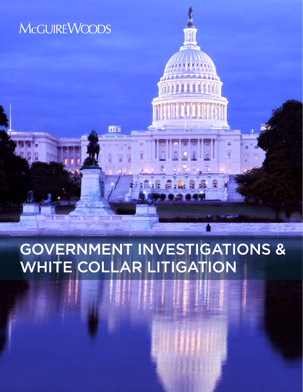## **McGUIREWOODS**

**HIM DINI THE REGIST** 

# GOVERNMENT INVESTIGATIONS & WHITE COLLAR LITIGATION

而

**EXAM KITH**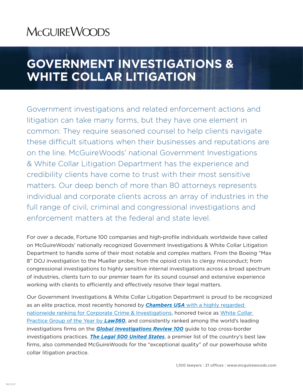## **MCGUIREWOODS**

## **GOVERNMENT INVESTIGATIONS & WHITE COLLAR LITIGATION**

Government investigations and related enforcement actions and litigation can take many forms, but they have one element in common: They require seasoned counsel to help clients navigate these difficult situations when their businesses and reputations are on the line. McGuireWoods' national Government Investigations & White Collar Litigation Department has the experience and credibility clients have come to trust with their most sensitive matters. Our deep bench of more than 80 attorneys represents individual and corporate clients across an array of industries in the full range of civil, criminal and congressional investigations and enforcement matters at the federal and state level.

For over a decade, Fortune 100 companies and high-profile individuals worldwide have called on McGuireWoods' nationally recognized Government Investigations & White Collar Litigation Department to handle some of their most notable and complex matters. From the Boeing "Max 8" DOJ investigation to the Mueller probe; from the opioid crisis to clergy misconduct; from congressional investigations to highly sensitive internal investigations across a broad spectrum of industries, clients turn to our premier team for its sound counsel and extensive experience working with clients to efficiently and effectively resolve their legal matters.

Our Government Investigations & White Collar Litigation Department is proud to be recognized as an elite practice, most recently honored by *Chambers USA* with a highly regarded nationwide ranking for Corporate Crime & Investigations, honored twice as White Collar Practice Group of the Year by *Law360*, and consistently ranked among the world's leading investigations firms on the *Global Investigations Review 100* guide to top cross-border investigations practices. *The Legal 500 United States*, a premier list of the country's best law firms, also commended McGuireWoods for the "exceptional quality" of our powerhouse white collar litigation practice.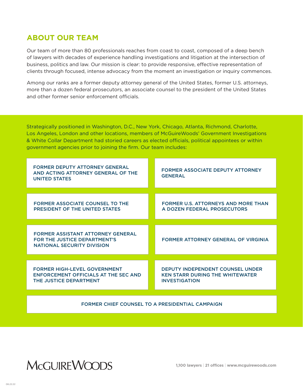## **ABOUT OUR TEAM**

Our team of more than 80 professionals reaches from coast to coast, composed of a deep bench of lawyers with decades of experience handling investigations and litigation at the intersection of business, politics and law. Our mission is clear: to provide responsive, effective representation of clients through focused, intense advocacy from the moment an investigation or inquiry commences.

Among our ranks are a former deputy attorney general of the United States, former U.S. attorneys, more than a dozen federal prosecutors, an associate counsel to the president of the United States and other former senior enforcement officials.

Strategically positioned in Washington, D.C., New York, Chicago, Atlanta, Richmond, Charlotte, Los Angeles, London and other locations, members of McGuireWoods' Government Investigations & White Collar Department had storied careers as elected officials, political appointees or within government agencies prior to joining the firm. Our team includes:

| <b>FORMER DEPUTY ATTORNEY GENERAL</b><br>AND ACTING ATTORNEY GENERAL OF THE<br><b>UNITED STATES</b>           | <b>FORMER ASSOCIATE DEPUTY ATTORNEY</b><br><b>GENERAL</b>                                          |
|---------------------------------------------------------------------------------------------------------------|----------------------------------------------------------------------------------------------------|
|                                                                                                               |                                                                                                    |
| <b>FORMER ASSOCIATE COUNSEL TO THE</b><br>PRESIDENT OF THE UNITED STATES                                      | <b>FORMER U.S. ATTORNEYS AND MORE THAN</b><br>A DOZEN FEDERAL PROSECUTORS                          |
|                                                                                                               |                                                                                                    |
| <b>FORMER ASSISTANT ATTORNEY GENERAL</b><br>FOR THE JUSTICE DEPARTMENT'S<br><b>NATIONAL SECURITY DIVISION</b> | FORMER ATTORNEY GENERAL OF VIRGINIA                                                                |
|                                                                                                               |                                                                                                    |
| <b>FORMER HIGH-LEVEL GOVERNMENT</b><br><b>ENFORCEMENT OFFICIALS AT THE SEC AND</b><br>THE JUSTICE DEPARTMENT  | DEPUTY INDEPENDENT COUNSEL UNDER<br><b>KEN STARR DURING THE WHITEWATER</b><br><b>INVESTIGATION</b> |
|                                                                                                               |                                                                                                    |
|                                                                                                               |                                                                                                    |

FORMER CHIEF COUNSEL TO A PRESIDENTIAL CAMPAIGN

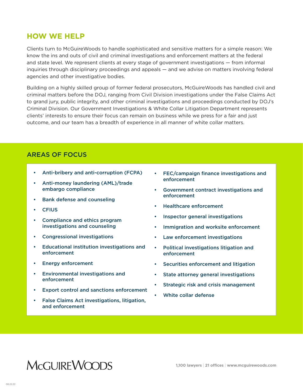### **HOW WE HELP**

Clients turn to McGuireWoods to handle sophisticated and sensitive matters for a simple reason: We know the ins and outs of civil and criminal investigations and enforcement matters at the federal and state level. We represent clients at every stage of government investigations — from informal inquiries through disciplinary proceedings and appeals — and we advise on matters involving federal agencies and other investigative bodies.

Building on a highly skilled group of former federal prosecutors, McGuireWoods has handled civil and criminal matters before the DOJ, ranging from Civil Division investigations under the False Claims Act to grand jury, public integrity, and other criminal investigations and proceedings conducted by DOJ's Criminal Division. Our Government Investigations & White Collar Litigation Department represents clients' interests to ensure their focus can remain on business while we press for a fair and just outcome, and our team has a breadth of experience in all manner of white collar matters.

### AREAS OF FOCUS

- Anti-bribery and anti-corruption (FCPA)
- Anti-money laundering (AML)/trade embargo compliance
- Bank defense and counseling
- **CFIUS**
- Compliance and ethics program investigations and counseling
- Congressional investigations
- Educational institution investigations and enforcement
- Energy enforcement
- Environmental investigations and enforcement
- **Export control and sanctions enforcement**
- False Claims Act investigations, litigation, and enforcement
- FEC/campaign finance investigations and enforcement
- Government contract investigations and enforcement
- Healthcare enforcement
- Inspector general investigations
- Immigration and worksite enforcement
- Law enforcement investigations
- Political investigations litigation and enforcement
- Securities enforcement and litigation
- State attorney general investigations
- Strategic risk and crisis management
- White collar defense

## **MCGUIREWOODS**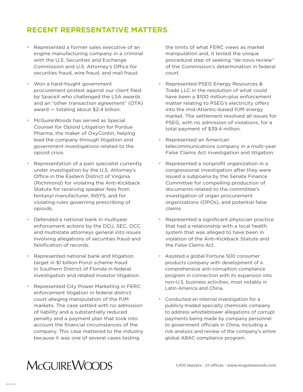## **RECENT REPRESENTATIVE MATTERS**

- **•** Represented a former sales executive of an engine manufacturing company in a criminal with the U.S. Securities and Exchange Commission and U.S. Attorney's Office for securities fraud, wire fraud, and mail fraud.
- **•** Won a hard-fought government procurement protest against our client filed by SpaceX who challenged the LSA awards and an "other transaction agreement" (OTA) award — totaling about \$2.4 billion.
- **•** McGuireWoods has served as Special Counsel for Opioid Litigation for Purdue Pharma, the maker of OxyContin, helping lead the company through litigation and government investigations related to the opioid crisis.
- **•** Representation of a pain specialist currently under investigation by the U.S. Attorney's Office in the Eastern District of Virginia (Richmond) for violating the Anti-Kickback Statute for receiving speaker fees from fentanyl manufacturer, INSYS, and for violating rules governing prescribing of opioids.
- **•** Defended a national bank in multiyear enforcement actions by the DOJ, SEC, OCC and multistate attorneys general into issues involving allegations of securities fraud and falsification of records.
- **•** Represented national bank and litigation target in \$1 billion Ponzi scheme fraud in Southern District of Florida in federal investigation and related investor litigation.
- **•** Represented City Power Marketing in FERC enforcement litigation in federal district court alleging manipulation of the PJM markets. The case settled with no admission of liability and a substantially reduced penalty and a payment plan that took into account the financial circumstances of the company. This case mattered to the industry because it was one of several cases testing

the limits of what FERC views as market manipulation and, it tested the unique procedural step of seeking "de novo review" of the Commission's determination in federal court.

- **•** Represented PSEG Energy Resources & Trade LLC in the resolution of what could have been a \$100 million-plus enforcement matter relating to PSEG's electricity offers into the mid-Atlantic-based PJM energy market. The settlement resolved all issues for PSEG, with no admission of violations, for a total payment of \$39.4 million.
- **•** Represented an American telecommunications company in a multi-year False Claims Act investigation and litigation.
- **•** Represented a nonprofit organization in a congressional investigation after they were issued a subpoena by the Senate Finance Committee for compelling production of documents related to the committee's investigation of organ procurement organizations (OPOs), and potential false claims
- **•** Represented a significant physician practice that had a relationship with a local health system that was alleged to have been in violation of the Anti-Kickback Statute and the False Claims Act.
- **•** Assisted a global Fortune 500 consumer products company with development of a comprehensive anti-corruption compliance program in connection with its expansion into non-U.S. business activities, most notably in Latin America and China.
- **•** Conducted an internal investigation for a publicly-traded specialty chemicals company to address whistleblower allegations of corrupt payments being made by company personnel to government officials in China, including a risk analysis and review of the company's entire global ABAC compliance program.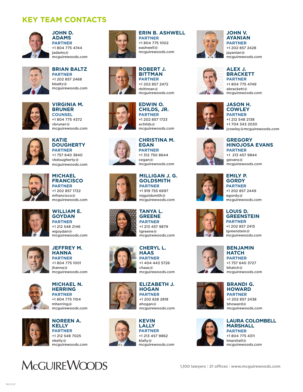## **KEY TEAM CONTACTS**



**JOHN D. ADAMS PARTNER** +1 804 775 4744 jadams@ mcguirewoods.com



**BRIAN BALTZ PARTNER** +1 202 857 2468 bbaltz@ mcguirewoods.com



**VIRGINIA M. BRUNER COUNSEL** +1 804 775 4372 vbruner@ mcguirewoods.com



**KATIE DOUGHERTY PARTNER** +1 757 640 3840 vkdougherty@ mcguirewoods.com



**MICHAEL FRANCISCO PARTNER** +1 202 857 1722 mfrancisco@ mcguirewoods.com



**WILLIAM E. GOYDAN PARTNER** +1 212 548 2146 wgoydan@ mcguirewoods.com



**JEFFREY M. HANNA PARTNER** +1 804 775 1001 jhanna@ mcguirewoods.com







**NOREEN A. KELLY PARTNER** +1 212 548 7025 nkelly@ mcguirewoods.com





### **ERIN B. ASHWELL**

**PARTNER** +1 804 775 1002 eashwell@ mcguirewoods.com

**ROBERT J. BITTMAN PARTNER** +1 202 857 2472 rbittman@



## mcguirewoods.com **EDWIN O.**

**CHILDS, JR. PARTNER** +1 202 857 1723 echilds@ mcguirewoods.com



**CHRISTINA M. EGAN PARTNER**

+1 312 750 8644 cegan@ mcguirewoods.com



#### **MILLIGAN J. G. GOLDSMITH PARTNER** +1 919 755 6697

mjgoldsmith@ mcguirewoods.com

#### **TANYA L. GREENE PARTNER** +1 213 457 9879 tgreene@ mcguirewoods.com



**CHERYL L. HAAS PARTNER** +1 404 443 5726 chaas@ mcguirewoods.com



**ELIZABETH J. HOGAN PARTNER** +1 202 828 2818 ehogan@ mcguirewoods.com



**KEVIN LALLY PARTNER** +1 213 457 9862 klally@ mcguirewoods.com



### **AYANIAN PARTNER**

**JOHN V.**

+1 202 857 2428 jayanian@ mcguirewoods.com



**ALEX J. BRACKETT PARTNER** +1 804 775 4749 abrackett@ mcguirewoods.com



#### **JASON H. COWLEY PARTNER** +1 212 548 2138 +1 704 343 2030 jcowley@mcguirewoods.com



**GREGORY HINOJOSA EVANS PARTNER** +1 213 457 9844 gevans@ mcguirewoods.com



**GORDY PARTNER** +1 202 857 2449 egordy@ mcguirewoods.com

**EMILY P.**



#### **LOUIS D. GREENSTEIN PARTNER**

+1 202 857 2415 lgreenstein@ mcguirewoods.com



#### **BENJAMIN HATCH**

**PARTNER** +1 757 640 3727 bhatch@ mcguirewoods.com







**LAURA COLOMBELL MARSHALL PARTNER** +1 804 775 4311 lmarshall@ mcguirewoods.com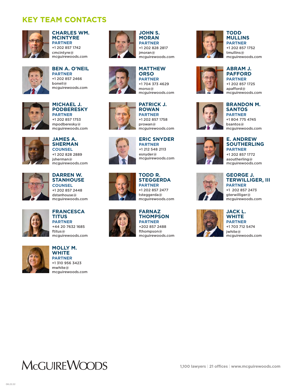## **KEY TEAM CONTACTS**



#### **CHARLES WM. MCINTYRE PARTNER**

+1 202 857 1742 cmcintyre@ mcguirewoods.com



**BEN A. O'NEIL PARTNER** +1 202 857 2466 boneil@ mcguirewoods.com







**JAMES A. SHERMAN COUNSEL** +1 202 828 2889 jsherman@ mcguirewoods.com



**DARREN W. STANHOUSE COUNSEL** +1 202 857 2448 dstanhouse@ mcguirewoods.com



**FRANCESCA TITUS PARTNER** +44 20 7632 1685 ftitus@ mcguirewoods.com



**MOLLY M. WHITE PARTNER** +1 310 956 3423 mwhite@ mcguirewoods.com



#### **JOHN S. MORAN PARTNER** +1 202 828 2817 jmoran@ mcguirewoods.com



#### **PATRICK J.**  +1 704 373 4629 morso@ mcguirewoods.com

**MATTHEW ORSO PARTNER**



**ROWAN PARTNER** +1 202 857 1758 prowan@ mcguirewoods.com

#### **ERIC SNYDER PARTNER**

+1 212 548 2113 esnyder@ mcguirewoods.com



#### **TODD R. STEGGERDA PARTNER**

+1 202 857 2477 tsteggerda@ mcguirewoods.com

#### **FARNAZ THOMPSON PARTNER** +202 857 2488 fthompson@

mcguirewoods.com



#### **TODD MULLINS PARTNER** +1 202 857 1752 tmullins@ mcguirewoods.com



#### **PAFFORD PARTNER** +1 202 857 1725 apafford@ mcguirewoods.com

**ABRAM J.** 

#### **BRANDON M. SANTOS PARTNER** +1 804 775 4745

bsantos@ mcguirewoods.com



#### **E. ANDREW SOUTHERLING PARTNER** +1 202 857 1772

asoutherling@ mcguirewoods.com



#### **GEORGE J. TERWILLIGER, III PARTNER**

+1 202 857 2473 gterwilliger@ mcguirewoods.com



**WHITE PARTNER** +1 703 712 5474 jwhite@ mcguirewoods.com

**MCGUIREWOODS**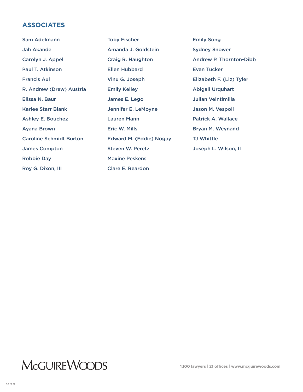### **ASSOCIATES**

Sam Adelmann Jah Akande Carolyn J. Appel Paul T. Atkinson Francis Aul R. Andrew (Drew) Austria Elissa N. Baur Karlee Starr Blank Ashley E. Bouchez Ayana Brown Caroline Schmidt Burton James Compton Robbie Day Roy G. Dixon, III Toby Fischer Amanda J. Goldstein Craig R. Haughton Ellen Hubbard Vinu G. Joseph Emily Kelley James E. Lego Jennifer E. LeMoyne Lauren Mann Eric W. Mills Edward M. (Eddie) Nogay Steven W. Peretz Maxine Peskens Clare E. Reardon Emily Song Sydney Snower Evan Tucker Abigail Urquhart Julian Veintimilla Jason M. Vespoli Patrick A. Wallace Bryan M. Weynand TJ Whittle Joseph L. Wilson, II